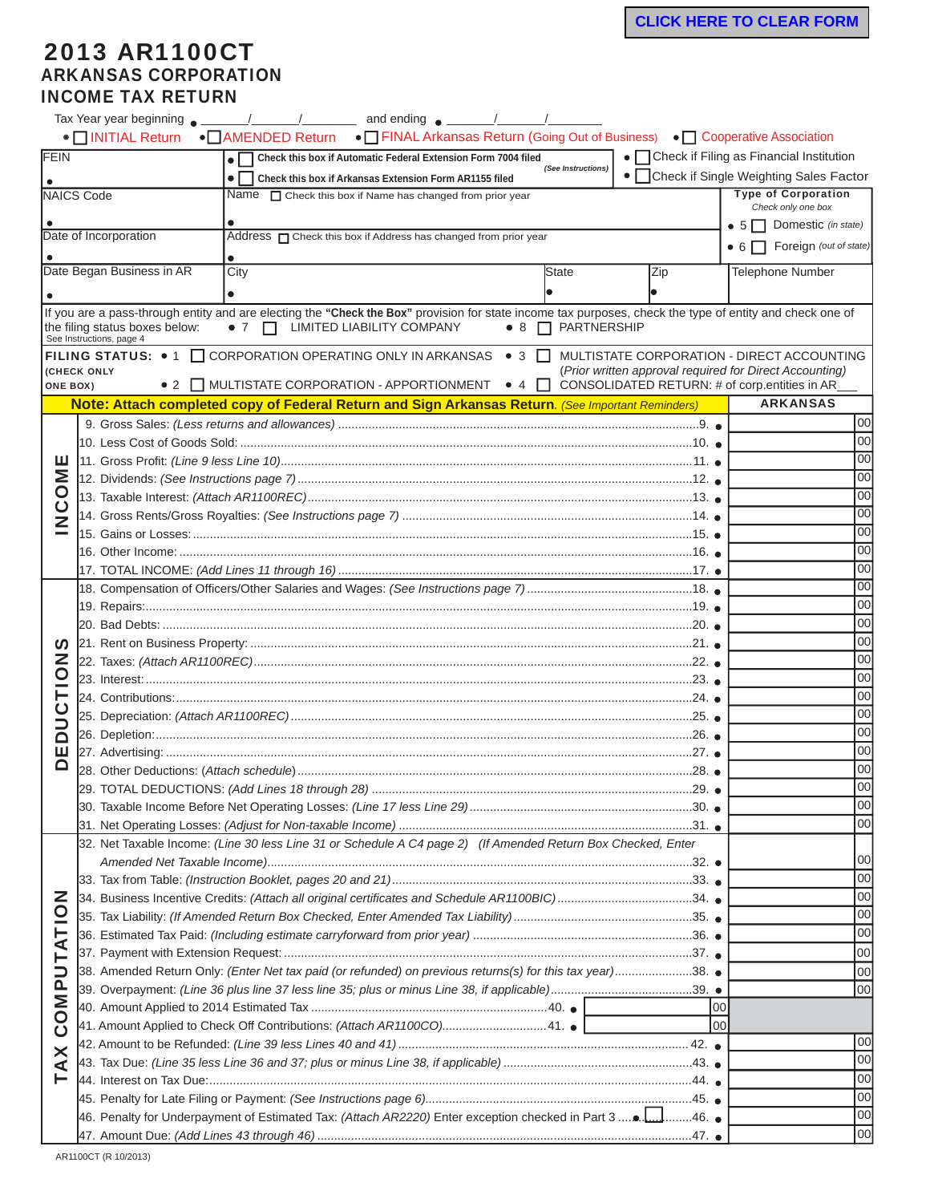## 2013 AR1100CT ARKANSAS CORPORATION INCOME TAX RETURN

|                                                                                               | • INITIAL Return                                                                                          | • AMENDED Return • FINAL Arkansas Return (Going Out of Business) • Cooperative Association                                                                                                               |                                                                            |                                |                                            |                                                                                                       |
|-----------------------------------------------------------------------------------------------|-----------------------------------------------------------------------------------------------------------|----------------------------------------------------------------------------------------------------------------------------------------------------------------------------------------------------------|----------------------------------------------------------------------------|--------------------------------|--------------------------------------------|-------------------------------------------------------------------------------------------------------|
| FEIN<br>• Check this box if Automatic Federal Extension Form 7004 filed<br>(See Instructions) |                                                                                                           |                                                                                                                                                                                                          |                                                                            |                                | • Check if Filing as Financial Institution |                                                                                                       |
|                                                                                               |                                                                                                           | Check this box if Arkansas Extension Form AR1155 filed                                                                                                                                                   |                                                                            |                                |                                            | • Check if Single Weighting Sales Factor                                                              |
|                                                                                               | NAICS Code<br>Name $\Box$ Check this box if Name has changed from prior year                              |                                                                                                                                                                                                          |                                                                            |                                |                                            | <b>Type of Corporation</b><br>Check only one box                                                      |
|                                                                                               |                                                                                                           |                                                                                                                                                                                                          |                                                                            |                                |                                            | • $5 \Box$ Domestic (in state)                                                                        |
|                                                                                               | Date of Incorporation                                                                                     |                                                                                                                                                                                                          | Address <sub>O</sub> Check this box if Address has changed from prior year |                                |                                            |                                                                                                       |
|                                                                                               |                                                                                                           |                                                                                                                                                                                                          |                                                                            |                                |                                            | $\bullet$ 6 $\Box$ Foreign (out of state)                                                             |
|                                                                                               | Date Began Business in AR                                                                                 | City                                                                                                                                                                                                     |                                                                            | <b>State</b>                   | Zip                                        | <b>Telephone Number</b>                                                                               |
|                                                                                               |                                                                                                           |                                                                                                                                                                                                          |                                                                            |                                |                                            |                                                                                                       |
|                                                                                               | the filing status boxes below:<br>See Instructions, page 4                                                | If you are a pass-through entity and are electing the "Check the Box" provision for state income tax purposes, check the type of entity and check one of<br>$\bullet$ 7 $\Box$ LIMITED LIABILITY COMPANY |                                                                            | $\bullet$ 8 $\Box$ PARTNERSHIP |                                            |                                                                                                       |
| <b>ONE BOX)</b>                                                                               | (CHECK ONLY                                                                                               | FILING STATUS: • 1 CORPORATION OPERATING ONLY IN ARKANSAS • 3 C<br>• 2 MULTISTATE CORPORATION - APPORTIONMENT • 4 O CONSOLIDATED RETURN: # of corp.entities in AR                                        |                                                                            |                                |                                            | MULTISTATE CORPORATION - DIRECT ACCOUNTING<br>(Prior written approval required for Direct Accounting) |
|                                                                                               |                                                                                                           | Note: Attach completed copy of Federal Return and Sign Arkansas Return. (See Important Reminders)                                                                                                        |                                                                            |                                |                                            | <b>ARKANSAS</b>                                                                                       |
|                                                                                               |                                                                                                           |                                                                                                                                                                                                          |                                                                            |                                |                                            | 00                                                                                                    |
|                                                                                               |                                                                                                           |                                                                                                                                                                                                          |                                                                            |                                |                                            | 00                                                                                                    |
| ш                                                                                             |                                                                                                           |                                                                                                                                                                                                          | 00                                                                         |                                |                                            |                                                                                                       |
| ŠΪ                                                                                            |                                                                                                           |                                                                                                                                                                                                          |                                                                            |                                |                                            | 00                                                                                                    |
| O                                                                                             |                                                                                                           |                                                                                                                                                                                                          |                                                                            |                                |                                            | 00                                                                                                    |
| ن<br>Z                                                                                        |                                                                                                           |                                                                                                                                                                                                          |                                                                            |                                |                                            | 00                                                                                                    |
|                                                                                               |                                                                                                           | 00                                                                                                                                                                                                       |                                                                            |                                |                                            |                                                                                                       |
|                                                                                               |                                                                                                           |                                                                                                                                                                                                          | 00                                                                         |                                |                                            |                                                                                                       |
|                                                                                               |                                                                                                           | 00                                                                                                                                                                                                       |                                                                            |                                |                                            |                                                                                                       |
|                                                                                               |                                                                                                           |                                                                                                                                                                                                          |                                                                            |                                |                                            | 00                                                                                                    |
|                                                                                               |                                                                                                           | 00                                                                                                                                                                                                       |                                                                            |                                |                                            |                                                                                                       |
|                                                                                               |                                                                                                           |                                                                                                                                                                                                          |                                                                            |                                |                                            | 00                                                                                                    |
| <u>ທ</u>                                                                                      |                                                                                                           | 00                                                                                                                                                                                                       |                                                                            |                                |                                            |                                                                                                       |
| Z                                                                                             |                                                                                                           | 00                                                                                                                                                                                                       |                                                                            |                                |                                            |                                                                                                       |
| <u>୦</u>                                                                                      |                                                                                                           | 00                                                                                                                                                                                                       |                                                                            |                                |                                            |                                                                                                       |
|                                                                                               |                                                                                                           | 00                                                                                                                                                                                                       |                                                                            |                                |                                            |                                                                                                       |
|                                                                                               |                                                                                                           |                                                                                                                                                                                                          | 00                                                                         |                                |                                            |                                                                                                       |
| É<br>Ω                                                                                        |                                                                                                           | 00                                                                                                                                                                                                       |                                                                            |                                |                                            |                                                                                                       |
| ш                                                                                             |                                                                                                           | 00                                                                                                                                                                                                       |                                                                            |                                |                                            |                                                                                                       |
|                                                                                               |                                                                                                           | 00                                                                                                                                                                                                       |                                                                            |                                |                                            |                                                                                                       |
|                                                                                               |                                                                                                           |                                                                                                                                                                                                          | 00                                                                         |                                |                                            |                                                                                                       |
|                                                                                               |                                                                                                           |                                                                                                                                                                                                          | 00                                                                         |                                |                                            |                                                                                                       |
|                                                                                               |                                                                                                           | 00                                                                                                                                                                                                       |                                                                            |                                |                                            |                                                                                                       |
|                                                                                               |                                                                                                           | 32. Net Taxable Income: (Line 30 less Line 31 or Schedule A C4 page 2) (If Amended Return Box Checked, Enter                                                                                             |                                                                            |                                |                                            |                                                                                                       |
|                                                                                               |                                                                                                           |                                                                                                                                                                                                          | 100                                                                        |                                |                                            |                                                                                                       |
|                                                                                               |                                                                                                           |                                                                                                                                                                                                          | 00                                                                         |                                |                                            |                                                                                                       |
|                                                                                               | 34. Business Incentive Credits: (Attach all original certificates and Schedule AR1100BIC)34.              | 00                                                                                                                                                                                                       |                                                                            |                                |                                            |                                                                                                       |
| NOL.                                                                                          |                                                                                                           | 00                                                                                                                                                                                                       |                                                                            |                                |                                            |                                                                                                       |
| <b>TAT</b>                                                                                    |                                                                                                           | 00                                                                                                                                                                                                       |                                                                            |                                |                                            |                                                                                                       |
|                                                                                               |                                                                                                           | 00                                                                                                                                                                                                       |                                                                            |                                |                                            |                                                                                                       |
|                                                                                               | 38. Amended Return Only: (Enter Net tax paid (or refunded) on previous returns(s) for this tax year)38. ● | 100                                                                                                                                                                                                      |                                                                            |                                |                                            |                                                                                                       |
|                                                                                               |                                                                                                           | 00                                                                                                                                                                                                       |                                                                            |                                |                                            |                                                                                                       |
| <b>UdWO</b>                                                                                   |                                                                                                           | 00                                                                                                                                                                                                       |                                                                            |                                |                                            |                                                                                                       |
| Ō<br>×<br>⋖                                                                                   | 41. Amount Applied to Check Off Contributions: (Attach AR1100CO)41. .                                     | 00                                                                                                                                                                                                       |                                                                            |                                |                                            |                                                                                                       |
|                                                                                               |                                                                                                           |                                                                                                                                                                                                          |                                                                            |                                |                                            | 00                                                                                                    |
|                                                                                               |                                                                                                           |                                                                                                                                                                                                          |                                                                            |                                |                                            | 100                                                                                                   |
|                                                                                               |                                                                                                           | 00                                                                                                                                                                                                       |                                                                            |                                |                                            |                                                                                                       |
|                                                                                               |                                                                                                           |                                                                                                                                                                                                          |                                                                            |                                |                                            | 00                                                                                                    |
|                                                                                               |                                                                                                           |                                                                                                                                                                                                          |                                                                            |                                |                                            | 00                                                                                                    |
|                                                                                               |                                                                                                           |                                                                                                                                                                                                          |                                                                            |                                |                                            | 00                                                                                                    |

AR1100CT (R 10/2013)